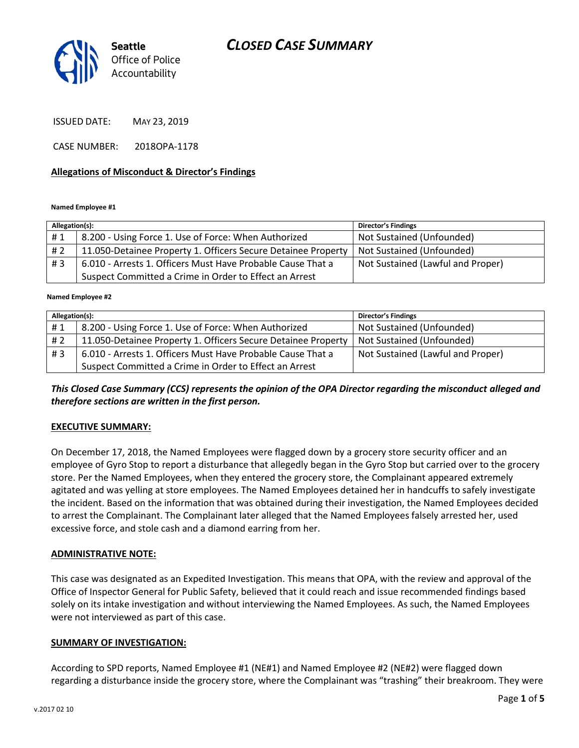

ISSUED DATE: MAY 23, 2019

CASE NUMBER: 2018OPA-1178

#### **Allegations of Misconduct & Director's Findings**

**Named Employee #1**

| Allegation(s): |                                                               | <b>Director's Findings</b>        |  |
|----------------|---------------------------------------------------------------|-----------------------------------|--|
| #1             | 8.200 - Using Force 1. Use of Force: When Authorized          | Not Sustained (Unfounded)         |  |
| # 2            | 11.050-Detainee Property 1. Officers Secure Detainee Property | Not Sustained (Unfounded)         |  |
| #3             | 6.010 - Arrests 1. Officers Must Have Probable Cause That a   | Not Sustained (Lawful and Proper) |  |
|                | Suspect Committed a Crime in Order to Effect an Arrest        |                                   |  |

ؚ<br>ا **Named Employee #2**

| Allegation(s): |                                                               | Director's Findings               |
|----------------|---------------------------------------------------------------|-----------------------------------|
| #1             | 8.200 - Using Force 1. Use of Force: When Authorized          | Not Sustained (Unfounded)         |
| #2             | 11.050-Detainee Property 1. Officers Secure Detainee Property | Not Sustained (Unfounded)         |
| #3             | 6.010 - Arrests 1. Officers Must Have Probable Cause That a   | Not Sustained (Lawful and Proper) |
|                | Suspect Committed a Crime in Order to Effect an Arrest        |                                   |

*This Closed Case Summary (CCS) represents the opinion of the OPA Director regarding the misconduct alleged and therefore sections are written in the first person.* 

#### **EXECUTIVE SUMMARY:**

On December 17, 2018, the Named Employees were flagged down by a grocery store security officer and an employee of Gyro Stop to report a disturbance that allegedly began in the Gyro Stop but carried over to the grocery store. Per the Named Employees, when they entered the grocery store, the Complainant appeared extremely agitated and was yelling at store employees. The Named Employees detained her in handcuffs to safely investigate the incident. Based on the information that was obtained during their investigation, the Named Employees decided to arrest the Complainant. The Complainant later alleged that the Named Employees falsely arrested her, used excessive force, and stole cash and a diamond earring from her.

#### **ADMINISTRATIVE NOTE:**

This case was designated as an Expedited Investigation. This means that OPA, with the review and approval of the Office of Inspector General for Public Safety, believed that it could reach and issue recommended findings based solely on its intake investigation and without interviewing the Named Employees. As such, the Named Employees were not interviewed as part of this case.

#### **SUMMARY OF INVESTIGATION:**

According to SPD reports, Named Employee #1 (NE#1) and Named Employee #2 (NE#2) were flagged down regarding a disturbance inside the grocery store, where the Complainant was "trashing" their breakroom. They were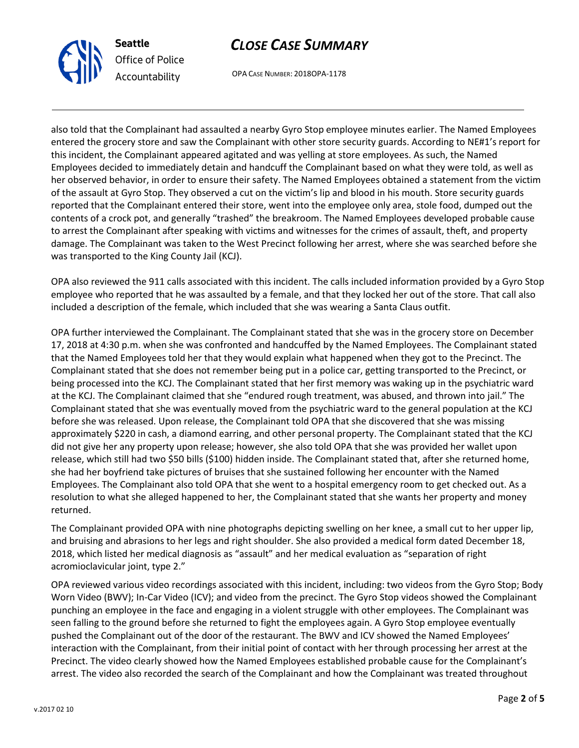

OPA CASE NUMBER: 2018OPA-1178

also told that the Complainant had assaulted a nearby Gyro Stop employee minutes earlier. The Named Employees entered the grocery store and saw the Complainant with other store security guards. According to NE#1's report for this incident, the Complainant appeared agitated and was yelling at store employees. As such, the Named Employees decided to immediately detain and handcuff the Complainant based on what they were told, as well as her observed behavior, in order to ensure their safety. The Named Employees obtained a statement from the victim of the assault at Gyro Stop. They observed a cut on the victim's lip and blood in his mouth. Store security guards reported that the Complainant entered their store, went into the employee only area, stole food, dumped out the contents of a crock pot, and generally "trashed" the breakroom. The Named Employees developed probable cause to arrest the Complainant after speaking with victims and witnesses for the crimes of assault, theft, and property damage. The Complainant was taken to the West Precinct following her arrest, where she was searched before she was transported to the King County Jail (KCJ).

OPA also reviewed the 911 calls associated with this incident. The calls included information provided by a Gyro Stop employee who reported that he was assaulted by a female, and that they locked her out of the store. That call also included a description of the female, which included that she was wearing a Santa Claus outfit.

OPA further interviewed the Complainant. The Complainant stated that she was in the grocery store on December 17, 2018 at 4:30 p.m. when she was confronted and handcuffed by the Named Employees. The Complainant stated that the Named Employees told her that they would explain what happened when they got to the Precinct. The Complainant stated that she does not remember being put in a police car, getting transported to the Precinct, or being processed into the KCJ. The Complainant stated that her first memory was waking up in the psychiatric ward at the KCJ. The Complainant claimed that she "endured rough treatment, was abused, and thrown into jail." The Complainant stated that she was eventually moved from the psychiatric ward to the general population at the KCJ before she was released. Upon release, the Complainant told OPA that she discovered that she was missing approximately \$220 in cash, a diamond earring, and other personal property. The Complainant stated that the KCJ did not give her any property upon release; however, she also told OPA that she was provided her wallet upon release, which still had two \$50 bills (\$100) hidden inside. The Complainant stated that, after she returned home, she had her boyfriend take pictures of bruises that she sustained following her encounter with the Named Employees. The Complainant also told OPA that she went to a hospital emergency room to get checked out. As a resolution to what she alleged happened to her, the Complainant stated that she wants her property and money returned.

The Complainant provided OPA with nine photographs depicting swelling on her knee, a small cut to her upper lip, and bruising and abrasions to her legs and right shoulder. She also provided a medical form dated December 18, 2018, which listed her medical diagnosis as "assault" and her medical evaluation as "separation of right acromioclavicular joint, type 2."

OPA reviewed various video recordings associated with this incident, including: two videos from the Gyro Stop; Body Worn Video (BWV); In-Car Video (ICV); and video from the precinct. The Gyro Stop videos showed the Complainant punching an employee in the face and engaging in a violent struggle with other employees. The Complainant was seen falling to the ground before she returned to fight the employees again. A Gyro Stop employee eventually pushed the Complainant out of the door of the restaurant. The BWV and ICV showed the Named Employees' interaction with the Complainant, from their initial point of contact with her through processing her arrest at the Precinct. The video clearly showed how the Named Employees established probable cause for the Complainant's arrest. The video also recorded the search of the Complainant and how the Complainant was treated throughout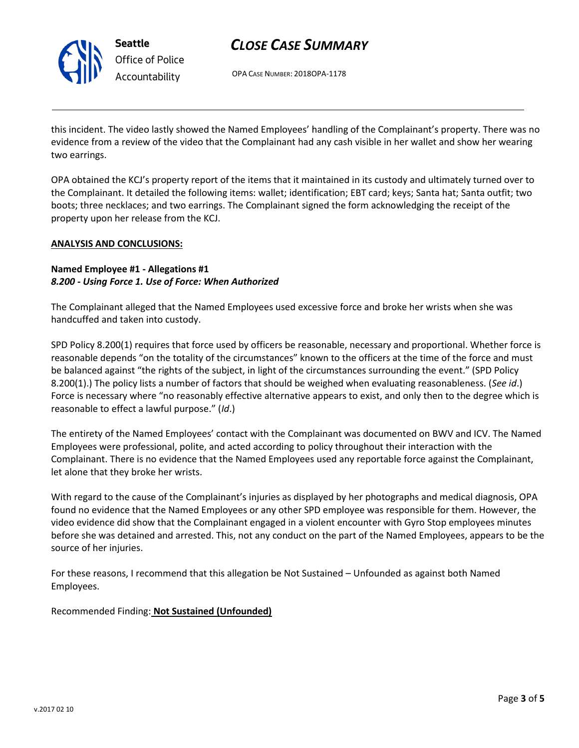

OPA CASE NUMBER: 2018OPA-1178

this incident. The video lastly showed the Named Employees' handling of the Complainant's property. There was no evidence from a review of the video that the Complainant had any cash visible in her wallet and show her wearing two earrings.

OPA obtained the KCJ's property report of the items that it maintained in its custody and ultimately turned over to the Complainant. It detailed the following items: wallet; identification; EBT card; keys; Santa hat; Santa outfit; two boots; three necklaces; and two earrings. The Complainant signed the form acknowledging the receipt of the property upon her release from the KCJ.

#### **ANALYSIS AND CONCLUSIONS:**

### **Named Employee #1 - Allegations #1** *8.200 - Using Force 1. Use of Force: When Authorized*

The Complainant alleged that the Named Employees used excessive force and broke her wrists when she was handcuffed and taken into custody.

SPD Policy 8.200(1) requires that force used by officers be reasonable, necessary and proportional. Whether force is reasonable depends "on the totality of the circumstances" known to the officers at the time of the force and must be balanced against "the rights of the subject, in light of the circumstances surrounding the event." (SPD Policy 8.200(1).) The policy lists a number of factors that should be weighed when evaluating reasonableness. (*See id*.) Force is necessary where "no reasonably effective alternative appears to exist, and only then to the degree which is reasonable to effect a lawful purpose." (*Id*.)

The entirety of the Named Employees' contact with the Complainant was documented on BWV and ICV. The Named Employees were professional, polite, and acted according to policy throughout their interaction with the Complainant. There is no evidence that the Named Employees used any reportable force against the Complainant, let alone that they broke her wrists.

With regard to the cause of the Complainant's injuries as displayed by her photographs and medical diagnosis, OPA found no evidence that the Named Employees or any other SPD employee was responsible for them. However, the video evidence did show that the Complainant engaged in a violent encounter with Gyro Stop employees minutes before she was detained and arrested. This, not any conduct on the part of the Named Employees, appears to be the source of her injuries.

For these reasons, I recommend that this allegation be Not Sustained – Unfounded as against both Named Employees.

Recommended Finding: **Not Sustained (Unfounded)**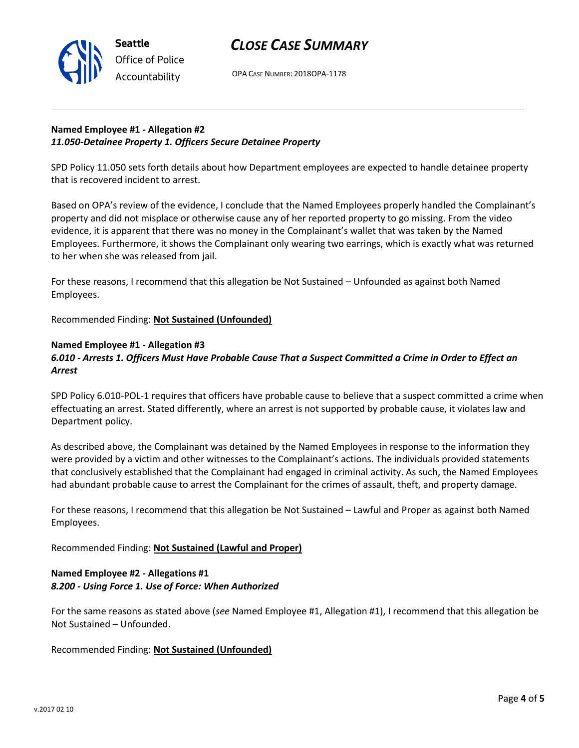

OPA CASE NUMBER: 2018OPA-1178

### **Named Employee #1 - Allegation #2** *11.050-Detainee Property 1. Officers Secure Detainee Property*

SPD Policy 11.050 sets forth details about how Department employees are expected to handle detainee property that is recovered incident to arrest.

Based on OPA's review of the evidence, I conclude that the Named Employees properly handled the Complainant's property and did not misplace or otherwise cause any of her reported property to go missing. From the video evidence, it is apparent that there was no money in the Complainant's wallet that was taken by the Named Employees. Furthermore, it shows the Complainant only wearing two earrings, which is exactly what was returned to her when she was released from jail.

For these reasons, I recommend that this allegation be Not Sustained – Unfounded as against both Named Employees.

Recommended Finding: **Not Sustained (Unfounded)**

### **Named Employee #1 - Allegation #3**

## *6.010 - Arrests 1. Officers Must Have Probable Cause That a Suspect Committed a Crime in Order to Effect an Arrest*

SPD Policy 6.010-POL-1 requires that officers have probable cause to believe that a suspect committed a crime when effectuating an arrest. Stated differently, where an arrest is not supported by probable cause, it violates law and Department policy.

As described above, the Complainant was detained by the Named Employees in response to the information they were provided by a victim and other witnesses to the Complainant's actions. The individuals provided statements that conclusively established that the Complainant had engaged in criminal activity. As such, the Named Employees had abundant probable cause to arrest the Complainant for the crimes of assault, theft, and property damage.

For these reasons, I recommend that this allegation be Not Sustained – Lawful and Proper as against both Named Employees.

Recommended Finding: **Not Sustained (Lawful and Proper)**

### **Named Employee #2 - Allegations #1** *8.200 - Using Force 1. Use of Force: When Authorized*

For the same reasons as stated above (*see* Named Employee #1, Allegation #1), I recommend that this allegation be Not Sustained – Unfounded.

Recommended Finding: **Not Sustained (Unfounded)**